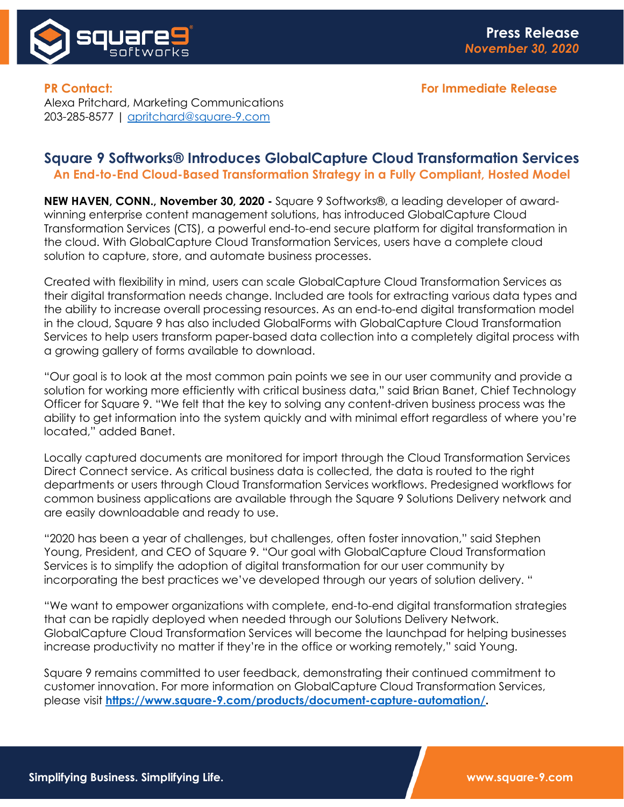

**PR Contact: For Immediate Release** Alexa Pritchard, Marketing Communications 203-285-8577 | [apritchard@square-9.com](mailto:apritchard@square-9.com)

## **Square 9 Softworks® Introduces GlobalCapture Cloud Transformation Services An End-to-End Cloud-Based Transformation Strategy in a Fully Compliant, Hosted Model**

**NEW HAVEN, CONN., November 30, 2020 -** Square 9 Softworks®, a leading developer of awardwinning enterprise content management solutions, has introduced GlobalCapture Cloud Transformation Services (CTS), a powerful end-to-end secure platform for digital transformation in the cloud. With GlobalCapture Cloud Transformation Services, users have a complete cloud solution to capture, store, and automate business processes.

Created with flexibility in mind, users can scale GlobalCapture Cloud Transformation Services as their digital transformation needs change. Included are tools for extracting various data types and the ability to increase overall processing resources. As an end-to-end digital transformation model in the cloud, Square 9 has also included GlobalForms with GlobalCapture Cloud Transformation Services to help users transform paper-based data collection into a completely digital process with a growing gallery of forms available to download.

"Our goal is to look at the most common pain points we see in our user community and provide a solution for working more efficiently with critical business data," said Brian Banet, Chief Technology Officer for Square 9. "We felt that the key to solving any content-driven business process was the ability to get information into the system quickly and with minimal effort regardless of where you're located," added Banet.

Locally captured documents are monitored for import through the Cloud Transformation Services Direct Connect service. As critical business data is collected, the data is routed to the right departments or users through Cloud Transformation Services workflows. Predesigned workflows for common business applications are available through the Square 9 Solutions Delivery network and are easily downloadable and ready to use.

"2020 has been a year of challenges, but challenges, often foster innovation," said Stephen Young, President, and CEO of Square 9. "Our goal with GlobalCapture Cloud Transformation Services is to simplify the adoption of digital transformation for our user community by incorporating the best practices we've developed through our years of solution delivery. "

"We want to empower organizations with complete, end-to-end digital transformation strategies that can be rapidly deployed when needed through our Solutions Delivery Network. GlobalCapture Cloud Transformation Services will become the launchpad for helping businesses increase productivity no matter if they're in the office or working remotely," said Young.

Square 9 remains committed to user feedback, demonstrating their continued commitment to customer innovation. For more information on GlobalCapture Cloud Transformation Services, please visit **[https://www.square-9.com/products/document-capture-automation/.](https://www.square-9.com/products/document-capture-automation/)**